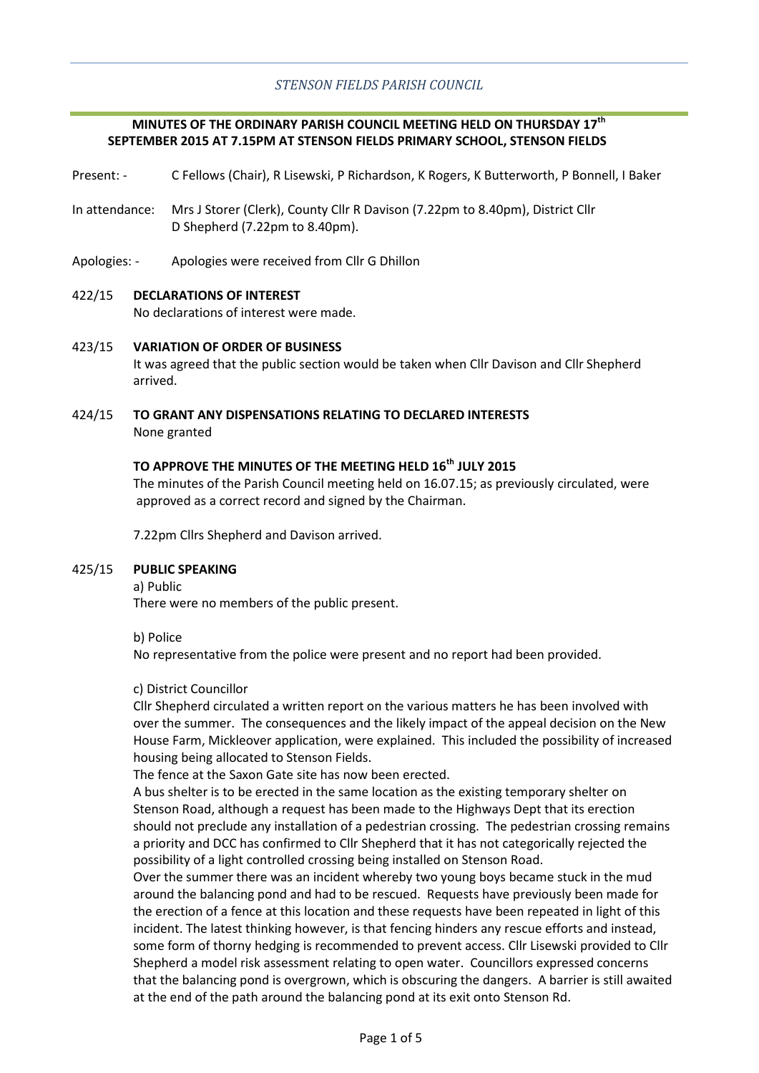### **MINUTES OF THE ORDINARY PARISH COUNCIL MEETING HELD ON THURSDAY 17th SEPTEMBER 2015 AT 7.15PM AT STENSON FIELDS PRIMARY SCHOOL, STENSON FIELDS**

- Present: C Fellows (Chair), R Lisewski, P Richardson, K Rogers, K Butterworth, P Bonnell, I Baker
- In attendance: Mrs J Storer (Clerk), County Cllr R Davison (7.22pm to 8.40pm), District Cllr D Shepherd (7.22pm to 8.40pm).
- Apologies: Apologies were received from Cllr G Dhillon

### 422/15 **DECLARATIONS OF INTEREST**

No declarations of interest were made.

#### 423/15 **VARIATION OF ORDER OF BUSINESS**

It was agreed that the public section would be taken when Cllr Davison and Cllr Shepherd arrived.

### 424/15 **TO GRANT ANY DISPENSATIONS RELATING TO DECLARED INTERESTS** None granted

# **TO APPROVE THE MINUTES OF THE MEETING HELD 16th JULY 2015**

The minutes of the Parish Council meeting held on 16.07.15; as previously circulated, were approved as a correct record and signed by the Chairman.

7.22pm Cllrs Shepherd and Davison arrived.

#### 425/15 **PUBLIC SPEAKING**

a) Public

There were no members of the public present.

b) Police

No representative from the police were present and no report had been provided.

### c) District Councillor

Cllr Shepherd circulated a written report on the various matters he has been involved with over the summer. The consequences and the likely impact of the appeal decision on the New House Farm, Mickleover application, were explained. This included the possibility of increased housing being allocated to Stenson Fields.

The fence at the Saxon Gate site has now been erected.

A bus shelter is to be erected in the same location as the existing temporary shelter on Stenson Road, although a request has been made to the Highways Dept that its erection should not preclude any installation of a pedestrian crossing. The pedestrian crossing remains a priority and DCC has confirmed to Cllr Shepherd that it has not categorically rejected the possibility of a light controlled crossing being installed on Stenson Road.

Over the summer there was an incident whereby two young boys became stuck in the mud around the balancing pond and had to be rescued. Requests have previously been made for the erection of a fence at this location and these requests have been repeated in light of this incident. The latest thinking however, is that fencing hinders any rescue efforts and instead, some form of thorny hedging is recommended to prevent access. Cllr Lisewski provided to Cllr Shepherd a model risk assessment relating to open water. Councillors expressed concerns that the balancing pond is overgrown, which is obscuring the dangers. A barrier is still awaited at the end of the path around the balancing pond at its exit onto Stenson Rd.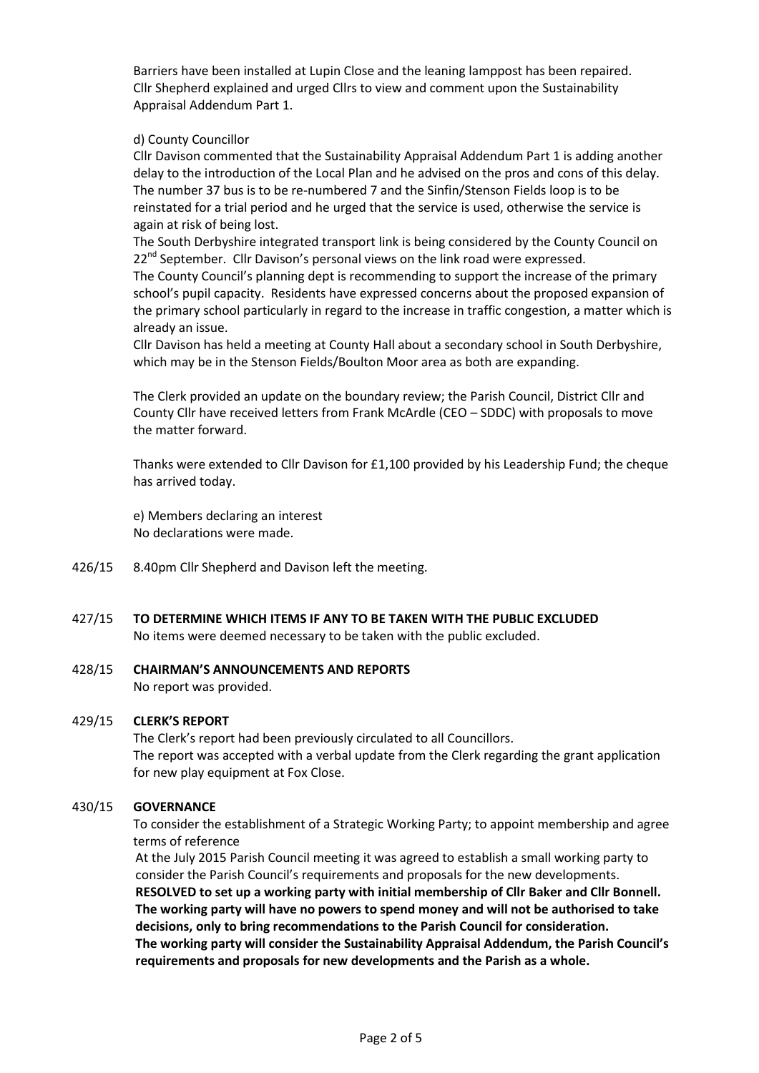Barriers have been installed at Lupin Close and the leaning lamppost has been repaired. Cllr Shepherd explained and urged Cllrs to view and comment upon the Sustainability Appraisal Addendum Part 1.

### d) County Councillor

Cllr Davison commented that the Sustainability Appraisal Addendum Part 1 is adding another delay to the introduction of the Local Plan and he advised on the pros and cons of this delay. The number 37 bus is to be re-numbered 7 and the Sinfin/Stenson Fields loop is to be reinstated for a trial period and he urged that the service is used, otherwise the service is again at risk of being lost.

The South Derbyshire integrated transport link is being considered by the County Council on 22<sup>nd</sup> September. Cllr Davison's personal views on the link road were expressed.

The County Council's planning dept is recommending to support the increase of the primary school's pupil capacity. Residents have expressed concerns about the proposed expansion of the primary school particularly in regard to the increase in traffic congestion, a matter which is already an issue.

Cllr Davison has held a meeting at County Hall about a secondary school in South Derbyshire, which may be in the Stenson Fields/Boulton Moor area as both are expanding.

The Clerk provided an update on the boundary review; the Parish Council, District Cllr and County Cllr have received letters from Frank McArdle (CEO – SDDC) with proposals to move the matter forward.

Thanks were extended to Cllr Davison for £1,100 provided by his Leadership Fund; the cheque has arrived today.

e) Members declaring an interest No declarations were made.

- 426/15 8.40pm Cllr Shepherd and Davison left the meeting.
- 427/15 **TO DETERMINE WHICH ITEMS IF ANY TO BE TAKEN WITH THE PUBLIC EXCLUDED** No items were deemed necessary to be taken with the public excluded.

#### 428/15 **CHAIRMAN'S ANNOUNCEMENTS AND REPORTS**

No report was provided.

#### 429/15 **CLERK'S REPORT**

The Clerk's report had been previously circulated to all Councillors. The report was accepted with a verbal update from the Clerk regarding the grant application for new play equipment at Fox Close.

#### 430/15 **GOVERNANCE**

To consider the establishment of a Strategic Working Party; to appoint membership and agree terms of reference

At the July 2015 Parish Council meeting it was agreed to establish a small working party to consider the Parish Council's requirements and proposals for the new developments. **RESOLVED to set up a working party with initial membership of Cllr Baker and Cllr Bonnell. The working party will have no powers to spend money and will not be authorised to take decisions, only to bring recommendations to the Parish Council for consideration. The working party will consider the Sustainability Appraisal Addendum, the Parish Council's requirements and proposals for new developments and the Parish as a whole.**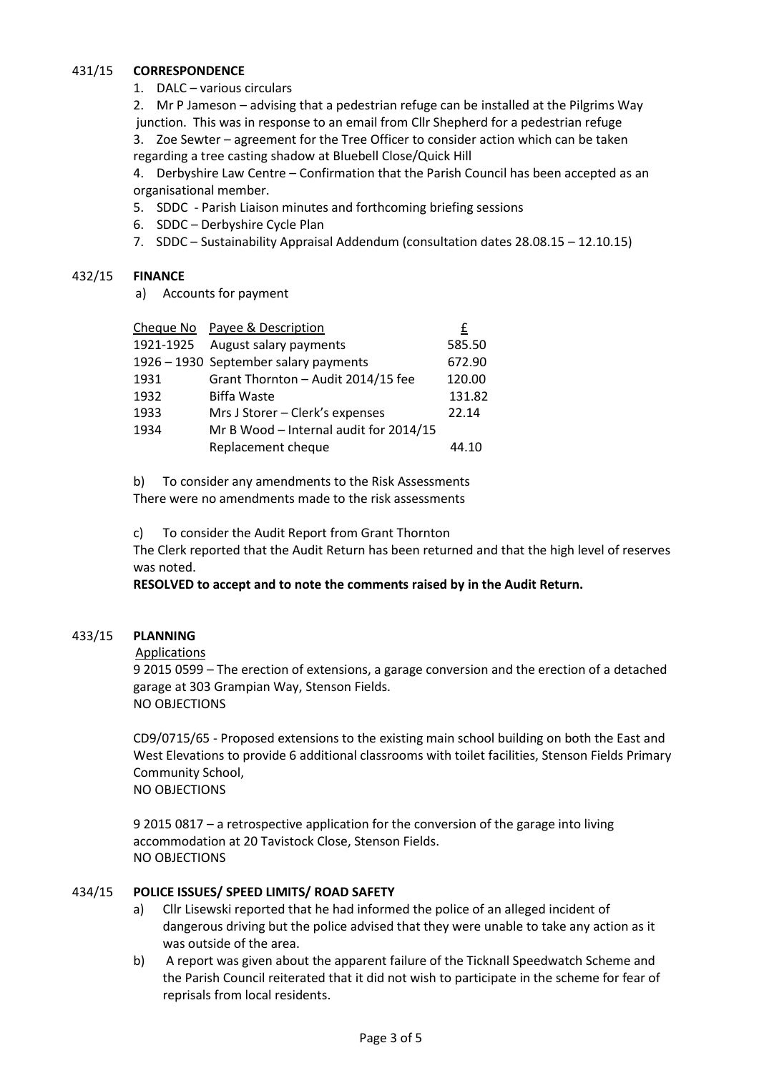#### 431/15 **CORRESPONDENCE**

1. DALC – various circulars

2. Mr P Jameson – advising that a pedestrian refuge can be installed at the Pilgrims Way junction. This was in response to an email from Cllr Shepherd for a pedestrian refuge

3. Zoe Sewter – agreement for the Tree Officer to consider action which can be taken regarding a tree casting shadow at Bluebell Close/Quick Hill

4. Derbyshire Law Centre – Confirmation that the Parish Council has been accepted as an organisational member.

- 5. SDDC Parish Liaison minutes and forthcoming briefing sessions
- 6. SDDC Derbyshire Cycle Plan
- 7. SDDC Sustainability Appraisal Addendum (consultation dates 28.08.15 12.10.15)

#### 432/15 **FINANCE**

a) Accounts for payment

|           | Cheque No Payee & Description          | £      |
|-----------|----------------------------------------|--------|
| 1921-1925 | August salary payments                 | 585.50 |
|           | 1926 - 1930 September salary payments  | 672.90 |
| 1931      | Grant Thornton - Audit 2014/15 fee     | 120.00 |
| 1932      | <b>Biffa Waste</b>                     | 131.82 |
| 1933      | Mrs J Storer - Clerk's expenses        | 22.14  |
| 1934      | Mr B Wood - Internal audit for 2014/15 |        |
|           | Replacement cheque                     | 44.10  |

b) To consider any amendments to the Risk Assessments There were no amendments made to the risk assessments

c) To consider the Audit Report from Grant Thornton

The Clerk reported that the Audit Return has been returned and that the high level of reserves was noted.

**RESOLVED to accept and to note the comments raised by in the Audit Return.**

#### 433/15 **PLANNING**

Applications

9 2015 0599 – The erection of extensions, a garage conversion and the erection of a detached garage at 303 Grampian Way, Stenson Fields. NO OBJECTIONS

CD9/0715/65 - Proposed extensions to the existing main school building on both the East and West Elevations to provide 6 additional classrooms with toilet facilities, Stenson Fields Primary Community School, NO OBJECTIONS

9 2015 0817 – a retrospective application for the conversion of the garage into living accommodation at 20 Tavistock Close, Stenson Fields. NO OBJECTIONS

#### 434/15 **POLICE ISSUES/ SPEED LIMITS/ ROAD SAFETY**

- a) Cllr Lisewski reported that he had informed the police of an alleged incident of dangerous driving but the police advised that they were unable to take any action as it was outside of the area.
- b) A report was given about the apparent failure of the Ticknall Speedwatch Scheme and the Parish Council reiterated that it did not wish to participate in the scheme for fear of reprisals from local residents.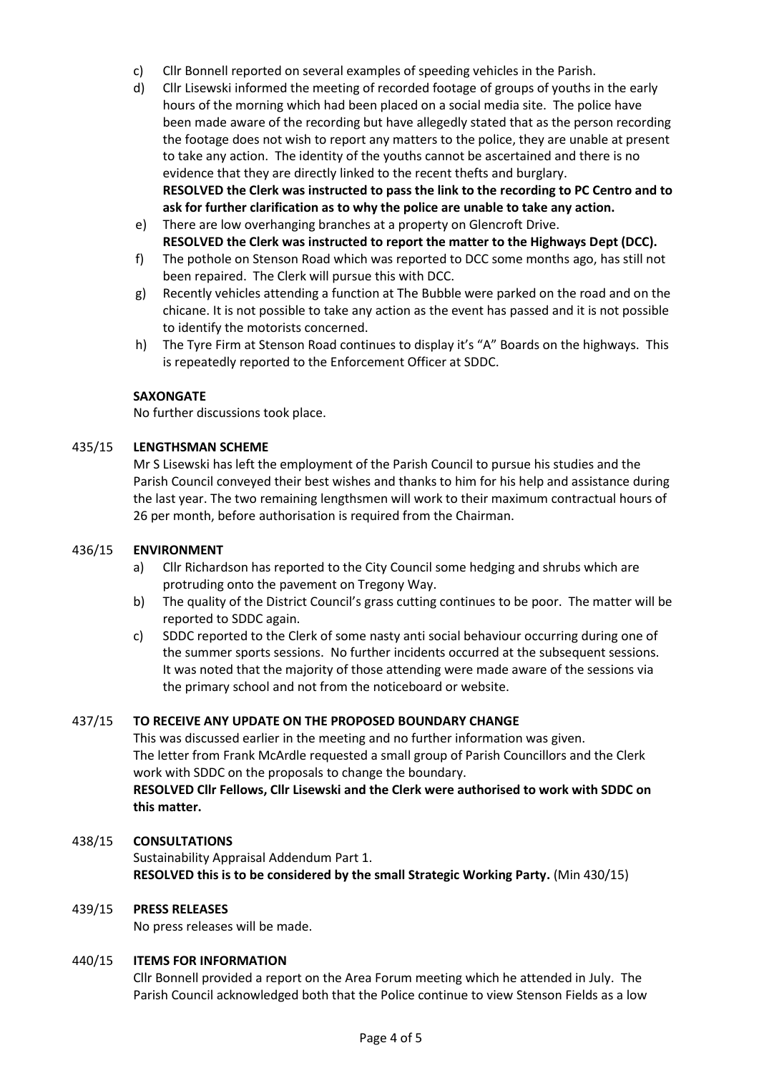- c) Cllr Bonnell reported on several examples of speeding vehicles in the Parish.
- d) Cllr Lisewski informed the meeting of recorded footage of groups of youths in the early hours of the morning which had been placed on a social media site. The police have been made aware of the recording but have allegedly stated that as the person recording the footage does not wish to report any matters to the police, they are unable at present to take any action. The identity of the youths cannot be ascertained and there is no evidence that they are directly linked to the recent thefts and burglary. **RESOLVED the Clerk was instructed to pass the link to the recording to PC Centro and to ask for further clarification as to why the police are unable to take any action.**
- e) There are low overhanging branches at a property on Glencroft Drive. **RESOLVED the Clerk was instructed to report the matter to the Highways Dept (DCC).**
- f) The pothole on Stenson Road which was reported to DCC some months ago, has still not been repaired. The Clerk will pursue this with DCC.
- g) Recently vehicles attending a function at The Bubble were parked on the road and on the chicane. It is not possible to take any action as the event has passed and it is not possible to identify the motorists concerned.
- h) The Tyre Firm at Stenson Road continues to display it's "A" Boards on the highways. This is repeatedly reported to the Enforcement Officer at SDDC.

## **SAXONGATE**

No further discussions took place.

#### 435/15 **LENGTHSMAN SCHEME**

Mr S Lisewski has left the employment of the Parish Council to pursue his studies and the Parish Council conveyed their best wishes and thanks to him for his help and assistance during the last year. The two remaining lengthsmen will work to their maximum contractual hours of 26 per month, before authorisation is required from the Chairman.

#### 436/15 **ENVIRONMENT**

- a) Cllr Richardson has reported to the City Council some hedging and shrubs which are protruding onto the pavement on Tregony Way.
- b) The quality of the District Council's grass cutting continues to be poor. The matter will be reported to SDDC again.
- c) SDDC reported to the Clerk of some nasty anti social behaviour occurring during one of the summer sports sessions. No further incidents occurred at the subsequent sessions. It was noted that the majority of those attending were made aware of the sessions via the primary school and not from the noticeboard or website.

#### 437/15 **TO RECEIVE ANY UPDATE ON THE PROPOSED BOUNDARY CHANGE**

This was discussed earlier in the meeting and no further information was given. The letter from Frank McArdle requested a small group of Parish Councillors and the Clerk work with SDDC on the proposals to change the boundary. **RESOLVED Cllr Fellows, Cllr Lisewski and the Clerk were authorised to work with SDDC on this matter.**

#### 438/15 **CONSULTATIONS**

Sustainability Appraisal Addendum Part 1. **RESOLVED this is to be considered by the small Strategic Working Party.** (Min 430/15)

#### 439/15 **PRESS RELEASES**

No press releases will be made.

#### 440/15 **ITEMS FOR INFORMATION**

Cllr Bonnell provided a report on the Area Forum meeting which he attended in July. The Parish Council acknowledged both that the Police continue to view Stenson Fields as a low